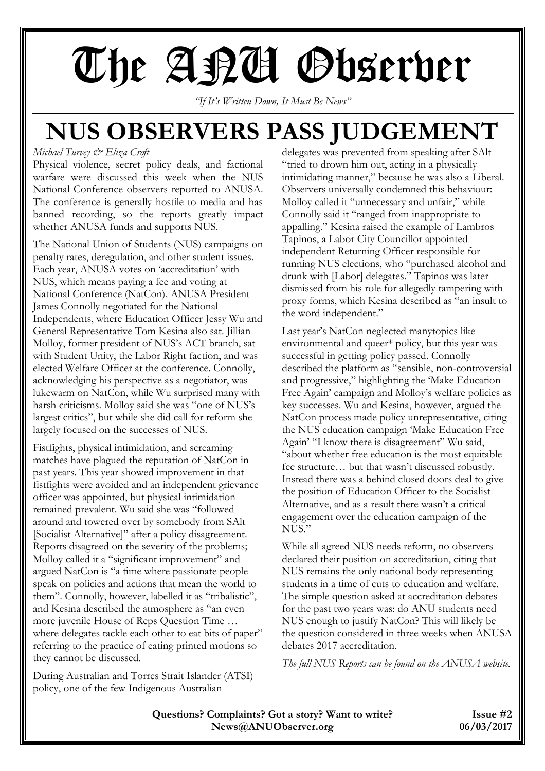# The AQU Observer

*"If It's Written Down, It Must Be News"*

### **NUS OBSERVERS PASS JUDGEMENT**

#### *Michael Turvey & Eliza Croft*

Physical violence, secret policy deals, and factional warfare were discussed this week when the NUS National Conference observers reported to ANUSA. The conference is generally hostile to media and has banned recording, so the reports greatly impact whether ANUSA funds and supports NUS.

The National Union of Students (NUS) campaigns on penalty rates, deregulation, and other student issues. Each year, ANUSA votes on 'accreditation' with NUS, which means paying a fee and voting at National Conference (NatCon). ANUSA President James Connolly negotiated for the National Independents, where Education Officer Jessy Wu and General Representative Tom Kesina also sat. Jillian Molloy, former president of NUS's ACT branch, sat with Student Unity, the Labor Right faction, and was elected Welfare Officer at the conference. Connolly, acknowledging his perspective as a negotiator, was lukewarm on NatCon, while Wu surprised many with harsh criticisms. Molloy said she was "one of NUS's largest critics", but while she did call for reform she largely focused on the successes of NUS.

Fistfights, physical intimidation, and screaming matches have plagued the reputation of NatCon in past years. This year showed improvement in that fistfights were avoided and an independent grievance officer was appointed, but physical intimidation remained prevalent. Wu said she was "followed around and towered over by somebody from SAlt [Socialist Alternative]" after a policy disagreement. Reports disagreed on the severity of the problems; Molloy called it a "significant improvement" and argued NatCon is "a time where passionate people speak on policies and actions that mean the world to them". Connolly, however, labelled it as "tribalistic", and Kesina described the atmosphere as "an even more juvenile House of Reps Question Time … where delegates tackle each other to eat bits of paper" referring to the practice of eating printed motions so they cannot be discussed.

During Australian and Torres Strait Islander (ATSI) policy, one of the few Indigenous Australian

delegates was prevented from speaking after SAlt "tried to drown him out, acting in a physically intimidating manner," because he was also a Liberal. Observers universally condemned this behaviour: Molloy called it "unnecessary and unfair," while Connolly said it "ranged from inappropriate to appalling." Kesina raised the example of Lambros Tapinos, a Labor City Councillor appointed independent Returning Officer responsible for running NUS elections, who "purchased alcohol and drunk with [Labor] delegates." Tapinos was later dismissed from his role for allegedly tampering with proxy forms, which Kesina described as "an insult to the word independent."

Last year's NatCon neglected manytopics like environmental and queer\* policy, but this year was successful in getting policy passed. Connolly described the platform as "sensible, non-controversial and progressive," highlighting the 'Make Education Free Again' campaign and Molloy's welfare policies as key successes. Wu and Kesina, however, argued the NatCon process made policy unrepresentative, citing the NUS education campaign 'Make Education Free Again' "I know there is disagreement" Wu said, "about whether free education is the most equitable fee structure… but that wasn't discussed robustly. Instead there was a behind closed doors deal to give the position of Education Officer to the Socialist Alternative, and as a result there wasn't a critical engagement over the education campaign of the NUS."

While all agreed NUS needs reform, no observers declared their position on accreditation, citing that NUS remains the only national body representing students in a time of cuts to education and welfare. The simple question asked at accreditation debates for the past two years was: do ANU students need NUS enough to justify NatCon? This will likely be the question considered in three weeks when ANUSA debates 2017 accreditation.

*The full NUS Reports can be found on the ANUSA website.*

**Questions? Complaints? Got a story? Want to write? Issue #2 News@ANUObserver.org 06/03/2017**